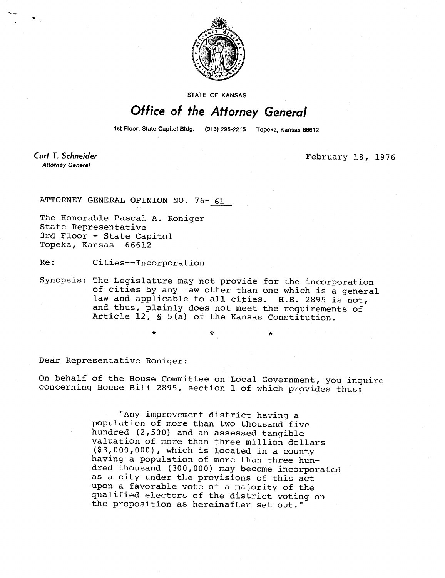

STATE OF KANSAS

## Office of the Attorney General

1st Floor, State Capitol Bldg. (913) 296-2215 Topeka, Kansas 66612

Curt T. Schneider **Attorney General** 

February 18, 1976

ATTORNEY GENERAL OPINION NO. 76- 61

The Honorable Pascal A. Roniger State Representative 3rd Floor - State Capitol Topeka, Kansas 66612

Re: Cities--Incorporation

\*

Synopsis: The Legislature may not provide for the incorporation of cities by any law other than one which is a general law and applicable to all cities. H.B. 2895 is not, and thus, plainly does not meet the requirements of Article 12, § 5(a) of the Kansas Constitution.

Dear Representative Roniger:

On behalf of the House Committee on Local Government, you inquire concerning House Bill 2895, section 1 of which provides thus:

> "Any improvement district having a population of more than two thousand five hundred (2,500) and an assessed tangible valuation of more than three million dollars (\$3,000,000), which is located in a county having a population of more than three hundred thousand (300,000) may become incorporated as a city under the provisions of this act upon a favorable vote of a majority of the qualified electors of the district voting on the proposition as hereinafter set out."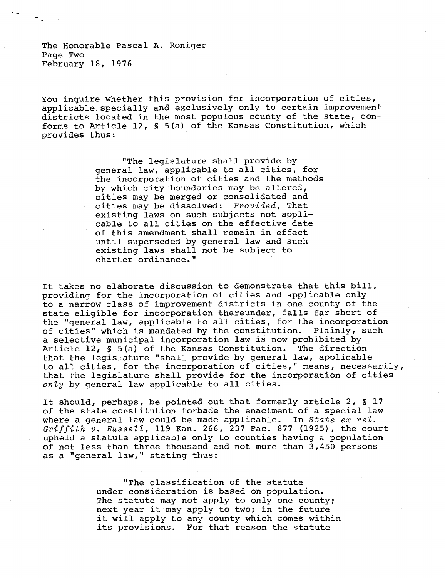The Honorable Pascal A. Roniger Page Two February 18, 1976

You inquire whether this provision for incorporation of cities, applicable specially and exclusively only to certain improvement districts located in the most populous county of the state, conforms to Article 12, § 5(a) of the Kansas Constitution, which provides thus:

> "The legislature shall provide by general law, applicable to all cities, for the incorporation of cities and the methods by which city boundaries may be altered, cities may be merged or consolidated and cities may be dissolved: Provided, That existing laws on such subjects not applicable to all cities on the effective date of this amendment shall remain in effect until superseded by general law and such existing laws shall not be subject to charter ordinance."

It takes no elaborate discussion to demonstrate that this bill, providing for the incorporation of cities and applicable only to a narrow class of improvement districts in one county of the state eligible for incorporation thereunder, falls far short of the "general law, applicable to all cities, for the incorporation of cities" which is mandated by the constitution. Plainly, such a selective municipal incorporation law is now prohibited by Article 12, § 5(a) of the Kansas Constitution. The direction that the legislature "shall provide by general law, applicable to all cities, for the incorporation of cities," means, necessarily, that the legislature shall provide for the incorporation of cities only by general law applicable to all cities.

It should, perhaps, be pointed out that formerly article 2, § 17 of the state constitution forbade the enactment of a special law where a general law could be made applicable. In State ex rel. Griffith  $v$ . Russell, 119 Kan. 266, 237 Pac. 877 (1925), the court upheld a statute applicable only to counties having a population of not less than three thousand and not more than 3,450 persons as a "general law," stating thus:

> "The classification of the statute under consideration is based on population. The statute may not apply to only one county; next year it may apply to two; in the future it will apply to any county which comes within its provisions. For that reason the statute